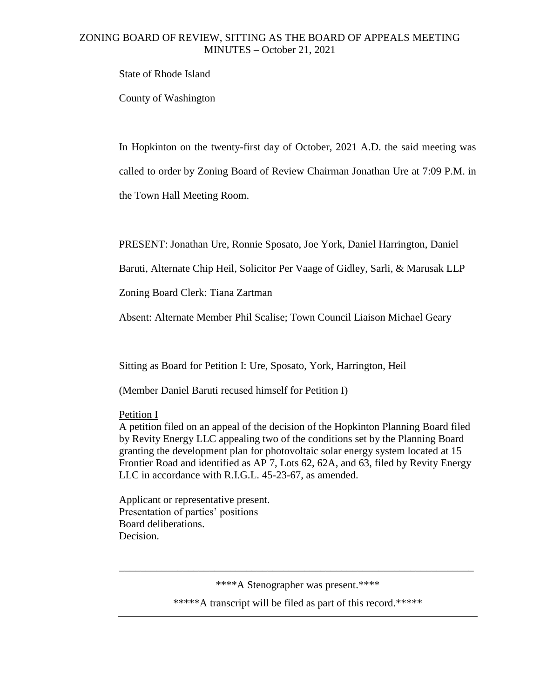State of Rhode Island

County of Washington

In Hopkinton on the twenty-first day of October, 2021 A.D. the said meeting was called to order by Zoning Board of Review Chairman Jonathan Ure at 7:09 P.M. in the Town Hall Meeting Room.

PRESENT: Jonathan Ure, Ronnie Sposato, Joe York, Daniel Harrington, Daniel

Baruti, Alternate Chip Heil, Solicitor Per Vaage of Gidley, Sarli, & Marusak LLP

Zoning Board Clerk: Tiana Zartman

Absent: Alternate Member Phil Scalise; Town Council Liaison Michael Geary

Sitting as Board for Petition I: Ure, Sposato, York, Harrington, Heil

(Member Daniel Baruti recused himself for Petition I)

Petition I

A petition filed on an appeal of the decision of the Hopkinton Planning Board filed by Revity Energy LLC appealing two of the conditions set by the Planning Board granting the development plan for photovoltaic solar energy system located at 15 Frontier Road and identified as AP 7, Lots 62, 62A, and 63, filed by Revity Energy LLC in accordance with R.I.G.L. 45-23-67, as amended.

Applicant or representative present. Presentation of parties' positions Board deliberations. Decision.

\*\*\*\*A Stenographer was present.\*\*\*\*

\_\_\_\_\_\_\_\_\_\_\_\_\_\_\_\_\_\_\_\_\_\_\_\_\_\_\_\_\_\_\_\_\_\_\_\_\_\_\_\_\_\_\_\_\_\_\_\_\_\_\_\_\_\_\_\_\_\_\_\_\_\_\_\_\_\_\_

\*\*\*\*\*A transcript will be filed as part of this record.\*\*\*\*\*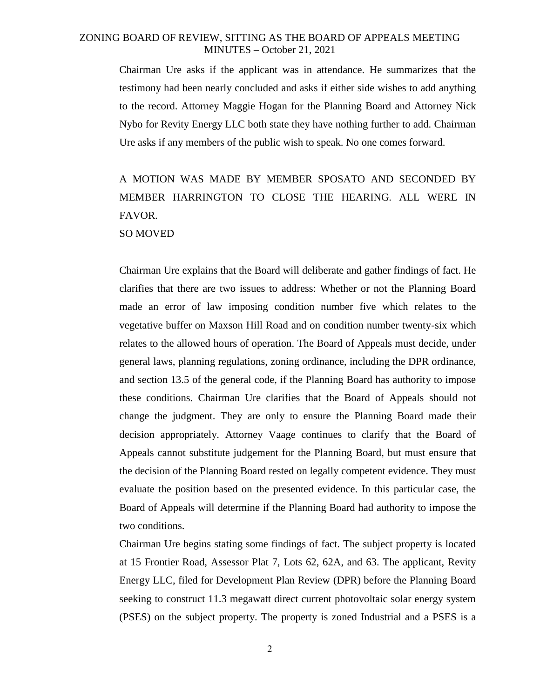Chairman Ure asks if the applicant was in attendance. He summarizes that the testimony had been nearly concluded and asks if either side wishes to add anything to the record. Attorney Maggie Hogan for the Planning Board and Attorney Nick Nybo for Revity Energy LLC both state they have nothing further to add. Chairman Ure asks if any members of the public wish to speak. No one comes forward.

# A MOTION WAS MADE BY MEMBER SPOSATO AND SECONDED BY MEMBER HARRINGTON TO CLOSE THE HEARING. ALL WERE IN FAVOR.

SO MOVED

Chairman Ure explains that the Board will deliberate and gather findings of fact. He clarifies that there are two issues to address: Whether or not the Planning Board made an error of law imposing condition number five which relates to the vegetative buffer on Maxson Hill Road and on condition number twenty-six which relates to the allowed hours of operation. The Board of Appeals must decide, under general laws, planning regulations, zoning ordinance, including the DPR ordinance, and section 13.5 of the general code, if the Planning Board has authority to impose these conditions. Chairman Ure clarifies that the Board of Appeals should not change the judgment. They are only to ensure the Planning Board made their decision appropriately. Attorney Vaage continues to clarify that the Board of Appeals cannot substitute judgement for the Planning Board, but must ensure that the decision of the Planning Board rested on legally competent evidence. They must evaluate the position based on the presented evidence. In this particular case, the Board of Appeals will determine if the Planning Board had authority to impose the two conditions.

Chairman Ure begins stating some findings of fact. The subject property is located at 15 Frontier Road, Assessor Plat 7, Lots 62, 62A, and 63. The applicant, Revity Energy LLC, filed for Development Plan Review (DPR) before the Planning Board seeking to construct 11.3 megawatt direct current photovoltaic solar energy system (PSES) on the subject property. The property is zoned Industrial and a PSES is a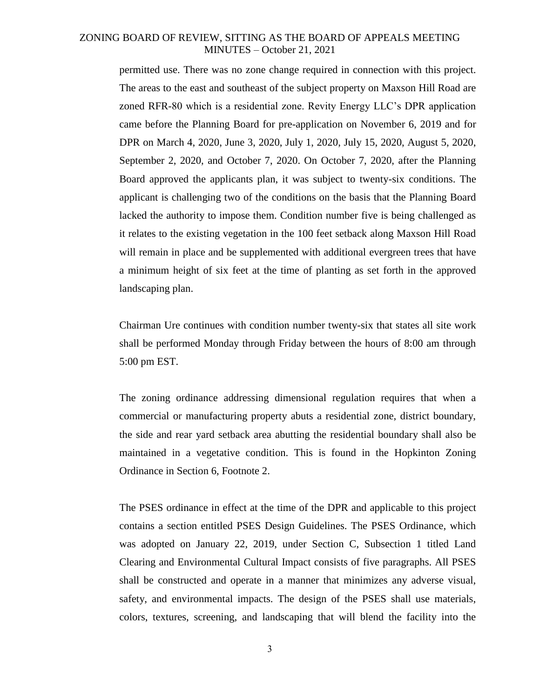permitted use. There was no zone change required in connection with this project. The areas to the east and southeast of the subject property on Maxson Hill Road are zoned RFR-80 which is a residential zone. Revity Energy LLC's DPR application came before the Planning Board for pre-application on November 6, 2019 and for DPR on March 4, 2020, June 3, 2020, July 1, 2020, July 15, 2020, August 5, 2020, September 2, 2020, and October 7, 2020. On October 7, 2020, after the Planning Board approved the applicants plan, it was subject to twenty-six conditions. The applicant is challenging two of the conditions on the basis that the Planning Board lacked the authority to impose them. Condition number five is being challenged as it relates to the existing vegetation in the 100 feet setback along Maxson Hill Road will remain in place and be supplemented with additional evergreen trees that have a minimum height of six feet at the time of planting as set forth in the approved landscaping plan.

Chairman Ure continues with condition number twenty-six that states all site work shall be performed Monday through Friday between the hours of 8:00 am through 5:00 pm EST.

The zoning ordinance addressing dimensional regulation requires that when a commercial or manufacturing property abuts a residential zone, district boundary, the side and rear yard setback area abutting the residential boundary shall also be maintained in a vegetative condition. This is found in the Hopkinton Zoning Ordinance in Section 6, Footnote 2.

The PSES ordinance in effect at the time of the DPR and applicable to this project contains a section entitled PSES Design Guidelines. The PSES Ordinance, which was adopted on January 22, 2019, under Section C, Subsection 1 titled Land Clearing and Environmental Cultural Impact consists of five paragraphs. All PSES shall be constructed and operate in a manner that minimizes any adverse visual, safety, and environmental impacts. The design of the PSES shall use materials, colors, textures, screening, and landscaping that will blend the facility into the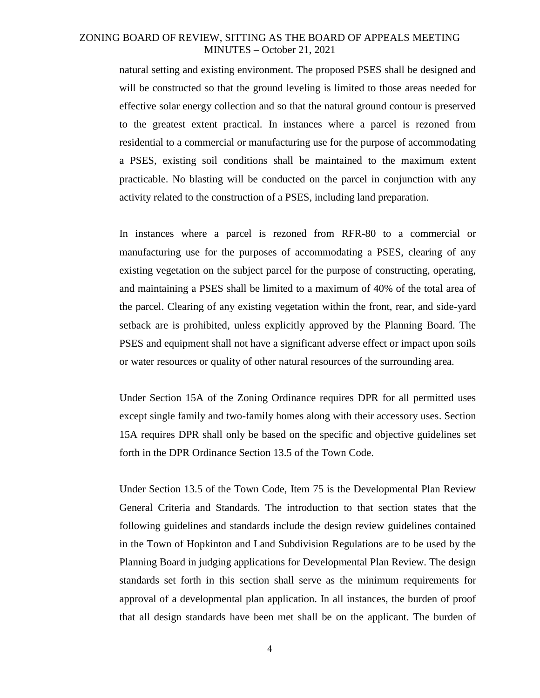natural setting and existing environment. The proposed PSES shall be designed and will be constructed so that the ground leveling is limited to those areas needed for effective solar energy collection and so that the natural ground contour is preserved to the greatest extent practical. In instances where a parcel is rezoned from residential to a commercial or manufacturing use for the purpose of accommodating a PSES, existing soil conditions shall be maintained to the maximum extent practicable. No blasting will be conducted on the parcel in conjunction with any activity related to the construction of a PSES, including land preparation.

In instances where a parcel is rezoned from RFR-80 to a commercial or manufacturing use for the purposes of accommodating a PSES, clearing of any existing vegetation on the subject parcel for the purpose of constructing, operating, and maintaining a PSES shall be limited to a maximum of 40% of the total area of the parcel. Clearing of any existing vegetation within the front, rear, and side-yard setback are is prohibited, unless explicitly approved by the Planning Board. The PSES and equipment shall not have a significant adverse effect or impact upon soils or water resources or quality of other natural resources of the surrounding area.

Under Section 15A of the Zoning Ordinance requires DPR for all permitted uses except single family and two-family homes along with their accessory uses. Section 15A requires DPR shall only be based on the specific and objective guidelines set forth in the DPR Ordinance Section 13.5 of the Town Code.

Under Section 13.5 of the Town Code, Item 75 is the Developmental Plan Review General Criteria and Standards. The introduction to that section states that the following guidelines and standards include the design review guidelines contained in the Town of Hopkinton and Land Subdivision Regulations are to be used by the Planning Board in judging applications for Developmental Plan Review. The design standards set forth in this section shall serve as the minimum requirements for approval of a developmental plan application. In all instances, the burden of proof that all design standards have been met shall be on the applicant. The burden of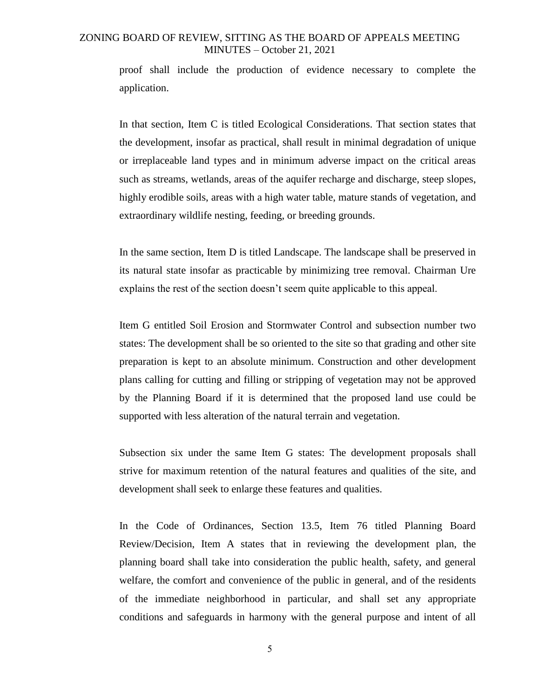proof shall include the production of evidence necessary to complete the application.

In that section, Item C is titled Ecological Considerations. That section states that the development, insofar as practical, shall result in minimal degradation of unique or irreplaceable land types and in minimum adverse impact on the critical areas such as streams, wetlands, areas of the aquifer recharge and discharge, steep slopes, highly erodible soils, areas with a high water table, mature stands of vegetation, and extraordinary wildlife nesting, feeding, or breeding grounds.

In the same section, Item D is titled Landscape. The landscape shall be preserved in its natural state insofar as practicable by minimizing tree removal. Chairman Ure explains the rest of the section doesn't seem quite applicable to this appeal.

Item G entitled Soil Erosion and Stormwater Control and subsection number two states: The development shall be so oriented to the site so that grading and other site preparation is kept to an absolute minimum. Construction and other development plans calling for cutting and filling or stripping of vegetation may not be approved by the Planning Board if it is determined that the proposed land use could be supported with less alteration of the natural terrain and vegetation.

Subsection six under the same Item G states: The development proposals shall strive for maximum retention of the natural features and qualities of the site, and development shall seek to enlarge these features and qualities.

In the Code of Ordinances, Section 13.5, Item 76 titled Planning Board Review/Decision, Item A states that in reviewing the development plan, the planning board shall take into consideration the public health, safety, and general welfare, the comfort and convenience of the public in general, and of the residents of the immediate neighborhood in particular, and shall set any appropriate conditions and safeguards in harmony with the general purpose and intent of all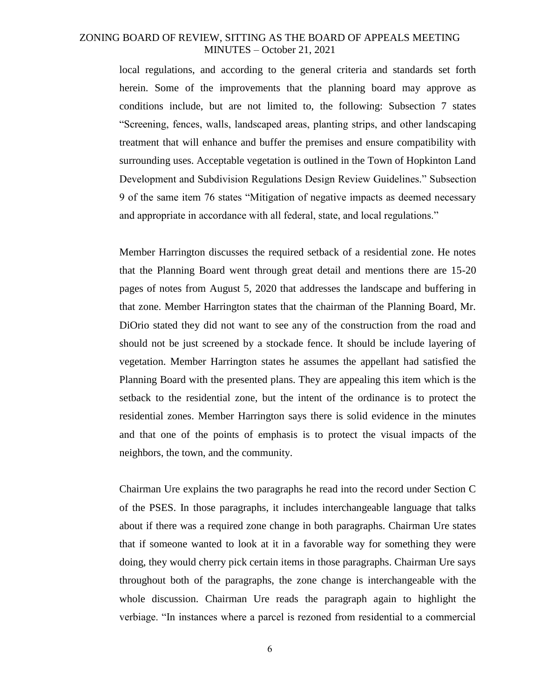local regulations, and according to the general criteria and standards set forth herein. Some of the improvements that the planning board may approve as conditions include, but are not limited to, the following: Subsection 7 states "Screening, fences, walls, landscaped areas, planting strips, and other landscaping treatment that will enhance and buffer the premises and ensure compatibility with surrounding uses. Acceptable vegetation is outlined in the Town of Hopkinton Land Development and Subdivision Regulations Design Review Guidelines." Subsection 9 of the same item 76 states "Mitigation of negative impacts as deemed necessary and appropriate in accordance with all federal, state, and local regulations."

Member Harrington discusses the required setback of a residential zone. He notes that the Planning Board went through great detail and mentions there are 15-20 pages of notes from August 5, 2020 that addresses the landscape and buffering in that zone. Member Harrington states that the chairman of the Planning Board, Mr. DiOrio stated they did not want to see any of the construction from the road and should not be just screened by a stockade fence. It should be include layering of vegetation. Member Harrington states he assumes the appellant had satisfied the Planning Board with the presented plans. They are appealing this item which is the setback to the residential zone, but the intent of the ordinance is to protect the residential zones. Member Harrington says there is solid evidence in the minutes and that one of the points of emphasis is to protect the visual impacts of the neighbors, the town, and the community.

Chairman Ure explains the two paragraphs he read into the record under Section C of the PSES. In those paragraphs, it includes interchangeable language that talks about if there was a required zone change in both paragraphs. Chairman Ure states that if someone wanted to look at it in a favorable way for something they were doing, they would cherry pick certain items in those paragraphs. Chairman Ure says throughout both of the paragraphs, the zone change is interchangeable with the whole discussion. Chairman Ure reads the paragraph again to highlight the verbiage. "In instances where a parcel is rezoned from residential to a commercial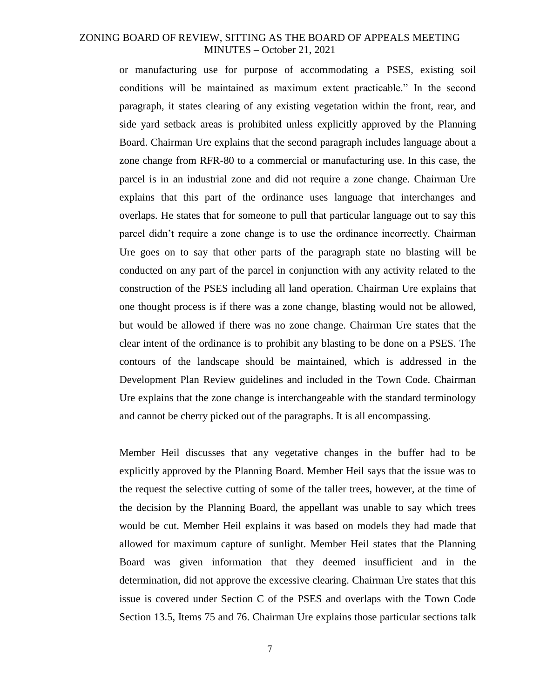or manufacturing use for purpose of accommodating a PSES, existing soil conditions will be maintained as maximum extent practicable." In the second paragraph, it states clearing of any existing vegetation within the front, rear, and side yard setback areas is prohibited unless explicitly approved by the Planning Board. Chairman Ure explains that the second paragraph includes language about a zone change from RFR-80 to a commercial or manufacturing use. In this case, the parcel is in an industrial zone and did not require a zone change. Chairman Ure explains that this part of the ordinance uses language that interchanges and overlaps. He states that for someone to pull that particular language out to say this parcel didn't require a zone change is to use the ordinance incorrectly. Chairman Ure goes on to say that other parts of the paragraph state no blasting will be conducted on any part of the parcel in conjunction with any activity related to the construction of the PSES including all land operation. Chairman Ure explains that one thought process is if there was a zone change, blasting would not be allowed, but would be allowed if there was no zone change. Chairman Ure states that the clear intent of the ordinance is to prohibit any blasting to be done on a PSES. The contours of the landscape should be maintained, which is addressed in the Development Plan Review guidelines and included in the Town Code. Chairman Ure explains that the zone change is interchangeable with the standard terminology and cannot be cherry picked out of the paragraphs. It is all encompassing.

Member Heil discusses that any vegetative changes in the buffer had to be explicitly approved by the Planning Board. Member Heil says that the issue was to the request the selective cutting of some of the taller trees, however, at the time of the decision by the Planning Board, the appellant was unable to say which trees would be cut. Member Heil explains it was based on models they had made that allowed for maximum capture of sunlight. Member Heil states that the Planning Board was given information that they deemed insufficient and in the determination, did not approve the excessive clearing. Chairman Ure states that this issue is covered under Section C of the PSES and overlaps with the Town Code Section 13.5, Items 75 and 76. Chairman Ure explains those particular sections talk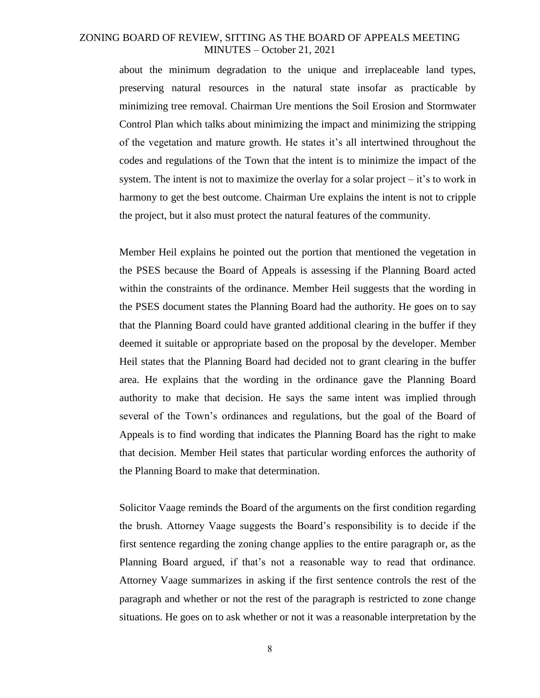about the minimum degradation to the unique and irreplaceable land types, preserving natural resources in the natural state insofar as practicable by minimizing tree removal. Chairman Ure mentions the Soil Erosion and Stormwater Control Plan which talks about minimizing the impact and minimizing the stripping of the vegetation and mature growth. He states it's all intertwined throughout the codes and regulations of the Town that the intent is to minimize the impact of the system. The intent is not to maximize the overlay for a solar project  $-$  it's to work in harmony to get the best outcome. Chairman Ure explains the intent is not to cripple the project, but it also must protect the natural features of the community.

Member Heil explains he pointed out the portion that mentioned the vegetation in the PSES because the Board of Appeals is assessing if the Planning Board acted within the constraints of the ordinance. Member Heil suggests that the wording in the PSES document states the Planning Board had the authority. He goes on to say that the Planning Board could have granted additional clearing in the buffer if they deemed it suitable or appropriate based on the proposal by the developer. Member Heil states that the Planning Board had decided not to grant clearing in the buffer area. He explains that the wording in the ordinance gave the Planning Board authority to make that decision. He says the same intent was implied through several of the Town's ordinances and regulations, but the goal of the Board of Appeals is to find wording that indicates the Planning Board has the right to make that decision. Member Heil states that particular wording enforces the authority of the Planning Board to make that determination.

Solicitor Vaage reminds the Board of the arguments on the first condition regarding the brush. Attorney Vaage suggests the Board's responsibility is to decide if the first sentence regarding the zoning change applies to the entire paragraph or, as the Planning Board argued, if that's not a reasonable way to read that ordinance. Attorney Vaage summarizes in asking if the first sentence controls the rest of the paragraph and whether or not the rest of the paragraph is restricted to zone change situations. He goes on to ask whether or not it was a reasonable interpretation by the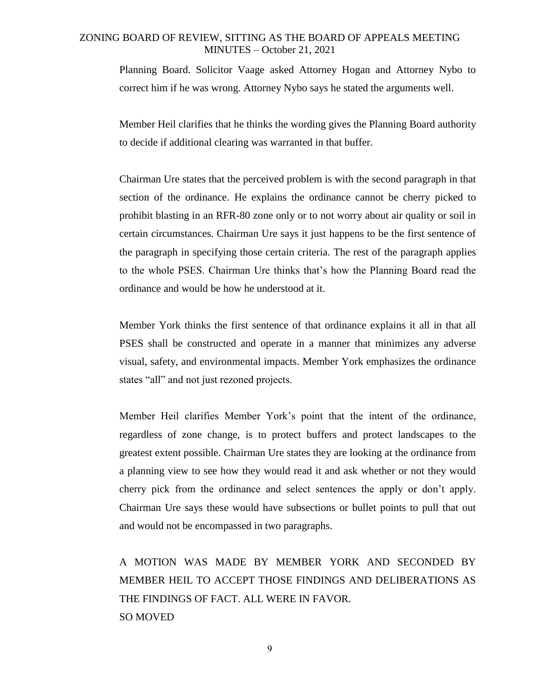Planning Board. Solicitor Vaage asked Attorney Hogan and Attorney Nybo to correct him if he was wrong. Attorney Nybo says he stated the arguments well.

Member Heil clarifies that he thinks the wording gives the Planning Board authority to decide if additional clearing was warranted in that buffer.

Chairman Ure states that the perceived problem is with the second paragraph in that section of the ordinance. He explains the ordinance cannot be cherry picked to prohibit blasting in an RFR-80 zone only or to not worry about air quality or soil in certain circumstances. Chairman Ure says it just happens to be the first sentence of the paragraph in specifying those certain criteria. The rest of the paragraph applies to the whole PSES. Chairman Ure thinks that's how the Planning Board read the ordinance and would be how he understood at it.

Member York thinks the first sentence of that ordinance explains it all in that all PSES shall be constructed and operate in a manner that minimizes any adverse visual, safety, and environmental impacts. Member York emphasizes the ordinance states "all" and not just rezoned projects.

Member Heil clarifies Member York's point that the intent of the ordinance, regardless of zone change, is to protect buffers and protect landscapes to the greatest extent possible. Chairman Ure states they are looking at the ordinance from a planning view to see how they would read it and ask whether or not they would cherry pick from the ordinance and select sentences the apply or don't apply. Chairman Ure says these would have subsections or bullet points to pull that out and would not be encompassed in two paragraphs.

A MOTION WAS MADE BY MEMBER YORK AND SECONDED BY MEMBER HEIL TO ACCEPT THOSE FINDINGS AND DELIBERATIONS AS THE FINDINGS OF FACT. ALL WERE IN FAVOR. SO MOVED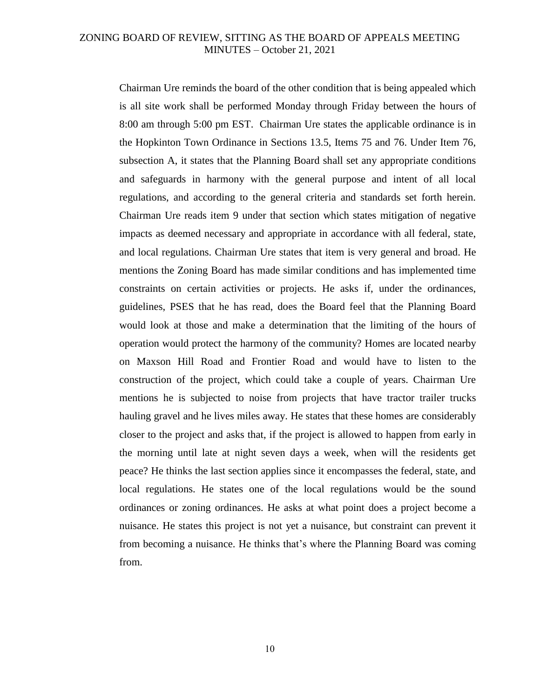Chairman Ure reminds the board of the other condition that is being appealed which is all site work shall be performed Monday through Friday between the hours of 8:00 am through 5:00 pm EST. Chairman Ure states the applicable ordinance is in the Hopkinton Town Ordinance in Sections 13.5, Items 75 and 76. Under Item 76, subsection A, it states that the Planning Board shall set any appropriate conditions and safeguards in harmony with the general purpose and intent of all local regulations, and according to the general criteria and standards set forth herein. Chairman Ure reads item 9 under that section which states mitigation of negative impacts as deemed necessary and appropriate in accordance with all federal, state, and local regulations. Chairman Ure states that item is very general and broad. He mentions the Zoning Board has made similar conditions and has implemented time constraints on certain activities or projects. He asks if, under the ordinances, guidelines, PSES that he has read, does the Board feel that the Planning Board would look at those and make a determination that the limiting of the hours of operation would protect the harmony of the community? Homes are located nearby on Maxson Hill Road and Frontier Road and would have to listen to the construction of the project, which could take a couple of years. Chairman Ure mentions he is subjected to noise from projects that have tractor trailer trucks hauling gravel and he lives miles away. He states that these homes are considerably closer to the project and asks that, if the project is allowed to happen from early in the morning until late at night seven days a week, when will the residents get peace? He thinks the last section applies since it encompasses the federal, state, and local regulations. He states one of the local regulations would be the sound ordinances or zoning ordinances. He asks at what point does a project become a nuisance. He states this project is not yet a nuisance, but constraint can prevent it from becoming a nuisance. He thinks that's where the Planning Board was coming from.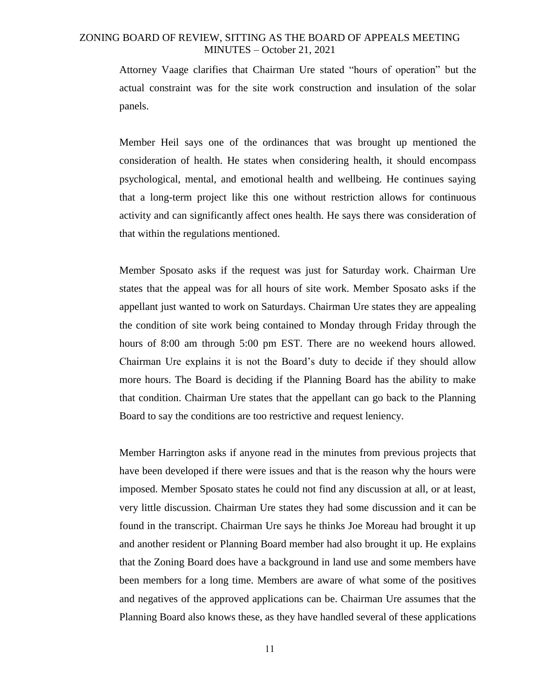Attorney Vaage clarifies that Chairman Ure stated "hours of operation" but the actual constraint was for the site work construction and insulation of the solar panels.

Member Heil says one of the ordinances that was brought up mentioned the consideration of health. He states when considering health, it should encompass psychological, mental, and emotional health and wellbeing. He continues saying that a long-term project like this one without restriction allows for continuous activity and can significantly affect ones health. He says there was consideration of that within the regulations mentioned.

Member Sposato asks if the request was just for Saturday work. Chairman Ure states that the appeal was for all hours of site work. Member Sposato asks if the appellant just wanted to work on Saturdays. Chairman Ure states they are appealing the condition of site work being contained to Monday through Friday through the hours of 8:00 am through 5:00 pm EST. There are no weekend hours allowed. Chairman Ure explains it is not the Board's duty to decide if they should allow more hours. The Board is deciding if the Planning Board has the ability to make that condition. Chairman Ure states that the appellant can go back to the Planning Board to say the conditions are too restrictive and request leniency.

Member Harrington asks if anyone read in the minutes from previous projects that have been developed if there were issues and that is the reason why the hours were imposed. Member Sposato states he could not find any discussion at all, or at least, very little discussion. Chairman Ure states they had some discussion and it can be found in the transcript. Chairman Ure says he thinks Joe Moreau had brought it up and another resident or Planning Board member had also brought it up. He explains that the Zoning Board does have a background in land use and some members have been members for a long time. Members are aware of what some of the positives and negatives of the approved applications can be. Chairman Ure assumes that the Planning Board also knows these, as they have handled several of these applications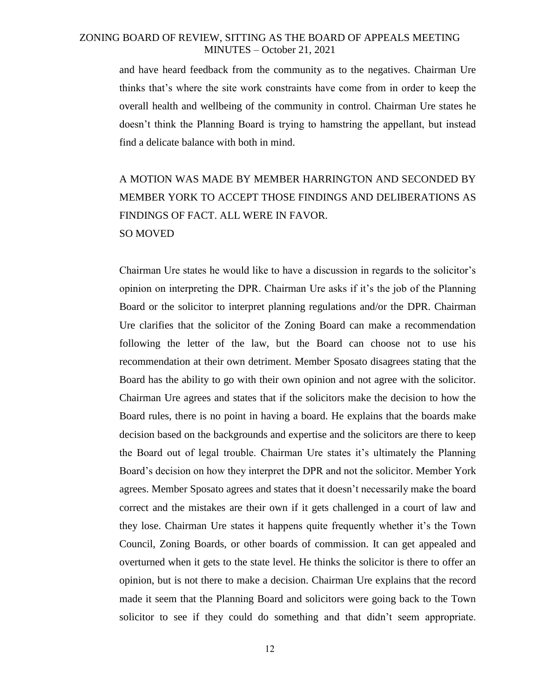and have heard feedback from the community as to the negatives. Chairman Ure thinks that's where the site work constraints have come from in order to keep the overall health and wellbeing of the community in control. Chairman Ure states he doesn't think the Planning Board is trying to hamstring the appellant, but instead find a delicate balance with both in mind.

# A MOTION WAS MADE BY MEMBER HARRINGTON AND SECONDED BY MEMBER YORK TO ACCEPT THOSE FINDINGS AND DELIBERATIONS AS FINDINGS OF FACT. ALL WERE IN FAVOR. SO MOVED

Chairman Ure states he would like to have a discussion in regards to the solicitor's opinion on interpreting the DPR. Chairman Ure asks if it's the job of the Planning Board or the solicitor to interpret planning regulations and/or the DPR. Chairman Ure clarifies that the solicitor of the Zoning Board can make a recommendation following the letter of the law, but the Board can choose not to use his recommendation at their own detriment. Member Sposato disagrees stating that the Board has the ability to go with their own opinion and not agree with the solicitor. Chairman Ure agrees and states that if the solicitors make the decision to how the Board rules, there is no point in having a board. He explains that the boards make decision based on the backgrounds and expertise and the solicitors are there to keep the Board out of legal trouble. Chairman Ure states it's ultimately the Planning Board's decision on how they interpret the DPR and not the solicitor. Member York agrees. Member Sposato agrees and states that it doesn't necessarily make the board correct and the mistakes are their own if it gets challenged in a court of law and they lose. Chairman Ure states it happens quite frequently whether it's the Town Council, Zoning Boards, or other boards of commission. It can get appealed and overturned when it gets to the state level. He thinks the solicitor is there to offer an opinion, but is not there to make a decision. Chairman Ure explains that the record made it seem that the Planning Board and solicitors were going back to the Town solicitor to see if they could do something and that didn't seem appropriate.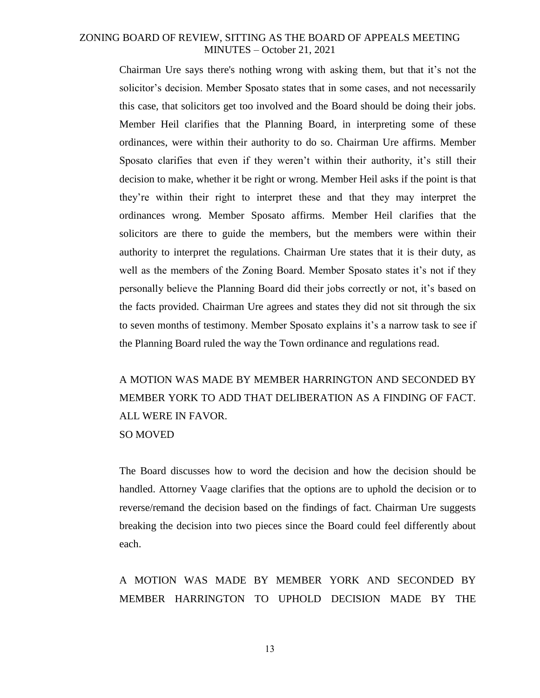Chairman Ure says there's nothing wrong with asking them, but that it's not the solicitor's decision. Member Sposato states that in some cases, and not necessarily this case, that solicitors get too involved and the Board should be doing their jobs. Member Heil clarifies that the Planning Board, in interpreting some of these ordinances, were within their authority to do so. Chairman Ure affirms. Member Sposato clarifies that even if they weren't within their authority, it's still their decision to make, whether it be right or wrong. Member Heil asks if the point is that they're within their right to interpret these and that they may interpret the ordinances wrong. Member Sposato affirms. Member Heil clarifies that the solicitors are there to guide the members, but the members were within their authority to interpret the regulations. Chairman Ure states that it is their duty, as well as the members of the Zoning Board. Member Sposato states it's not if they personally believe the Planning Board did their jobs correctly or not, it's based on the facts provided. Chairman Ure agrees and states they did not sit through the six to seven months of testimony. Member Sposato explains it's a narrow task to see if the Planning Board ruled the way the Town ordinance and regulations read.

A MOTION WAS MADE BY MEMBER HARRINGTON AND SECONDED BY MEMBER YORK TO ADD THAT DELIBERATION AS A FINDING OF FACT. ALL WERE IN FAVOR. SO MOVED

The Board discusses how to word the decision and how the decision should be handled. Attorney Vaage clarifies that the options are to uphold the decision or to reverse/remand the decision based on the findings of fact. Chairman Ure suggests breaking the decision into two pieces since the Board could feel differently about each.

A MOTION WAS MADE BY MEMBER YORK AND SECONDED BY MEMBER HARRINGTON TO UPHOLD DECISION MADE BY THE

13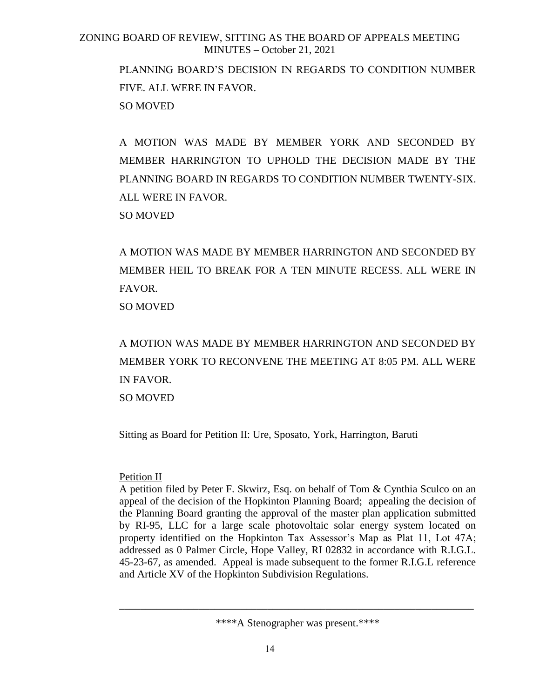PLANNING BOARD'S DECISION IN REGARDS TO CONDITION NUMBER FIVE. ALL WERE IN FAVOR. SO MOVED

A MOTION WAS MADE BY MEMBER YORK AND SECONDED BY MEMBER HARRINGTON TO UPHOLD THE DECISION MADE BY THE PLANNING BOARD IN REGARDS TO CONDITION NUMBER TWENTY-SIX. ALL WERE IN FAVOR. SO MOVED

A MOTION WAS MADE BY MEMBER HARRINGTON AND SECONDED BY MEMBER HEIL TO BREAK FOR A TEN MINUTE RECESS. ALL WERE IN FAVOR. SO MOVED

A MOTION WAS MADE BY MEMBER HARRINGTON AND SECONDED BY MEMBER YORK TO RECONVENE THE MEETING AT 8:05 PM. ALL WERE IN FAVOR. SO MOVED

Sitting as Board for Petition II: Ure, Sposato, York, Harrington, Baruti

# Petition II

A petition filed by Peter F. Skwirz, Esq. on behalf of Tom & Cynthia Sculco on an appeal of the decision of the Hopkinton Planning Board; appealing the decision of the Planning Board granting the approval of the master plan application submitted by RI-95, LLC for a large scale photovoltaic solar energy system located on property identified on the Hopkinton Tax Assessor's Map as Plat 11, Lot 47A; addressed as 0 Palmer Circle, Hope Valley, RI 02832 in accordance with R.I.G.L. 45-23-67, as amended. Appeal is made subsequent to the former R.I.G.L reference and Article XV of the Hopkinton Subdivision Regulations.

\*\*\*\*A Stenographer was present.\*\*\*\*

\_\_\_\_\_\_\_\_\_\_\_\_\_\_\_\_\_\_\_\_\_\_\_\_\_\_\_\_\_\_\_\_\_\_\_\_\_\_\_\_\_\_\_\_\_\_\_\_\_\_\_\_\_\_\_\_\_\_\_\_\_\_\_\_\_\_\_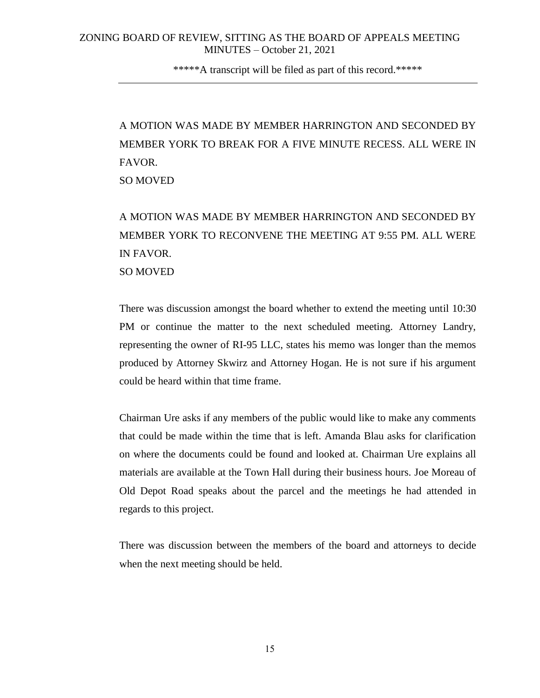\*\*\*\*\*A transcript will be filed as part of this record.\*\*\*\*\*

A MOTION WAS MADE BY MEMBER HARRINGTON AND SECONDED BY MEMBER YORK TO BREAK FOR A FIVE MINUTE RECESS. ALL WERE IN FAVOR. SO MOVED

A MOTION WAS MADE BY MEMBER HARRINGTON AND SECONDED BY MEMBER YORK TO RECONVENE THE MEETING AT 9:55 PM. ALL WERE IN FAVOR. SO MOVED

There was discussion amongst the board whether to extend the meeting until 10:30 PM or continue the matter to the next scheduled meeting. Attorney Landry, representing the owner of RI-95 LLC, states his memo was longer than the memos produced by Attorney Skwirz and Attorney Hogan. He is not sure if his argument could be heard within that time frame.

Chairman Ure asks if any members of the public would like to make any comments that could be made within the time that is left. Amanda Blau asks for clarification on where the documents could be found and looked at. Chairman Ure explains all materials are available at the Town Hall during their business hours. Joe Moreau of Old Depot Road speaks about the parcel and the meetings he had attended in regards to this project.

There was discussion between the members of the board and attorneys to decide when the next meeting should be held.